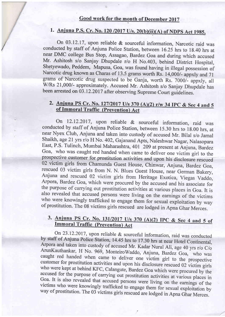## Good work for the month of December 2017

# 1. Anjuna P.S. Cr. No. 120 /2017 U/s. 20(b)(ii)(A) of NDPS Act 1985.

/

On 03.12.17, upon reliable & sourceful information, Narcotic raid was conducted by staff of Anjuna Police Station, between 16.25 hrs to 18.40 hrs at near DMC college Bus Stop, Assagao, Bardez Goa and during which accused Mr. Ashitosh s/o Sanjay Dhupdale r/o H No.403, behind District Hospital, Shetyewado, Peddem, Mapusa, Goa, was found having in illegal possession of Narcotic drug known as Charas of 13.5 grams worth Rs. 14,000/- appxly and 71 grams of Narcotic drug suspected to be Ganja, worth Rs. 7000/- appxly, all W/Rs 21,000/- approximately. Accused Mr. Ashitosh s/o Sanjay Dhupdale has been arrested on 03.12.2017 after observing Supreme Court guidelines.

### 2. Anjuna PS Cr. No. 127/2017 U/s 370 (A)(2) r/w 34 IPC & Sec 4 and 5 of Jmmoral Traffic (Prevention) Act

On 12.12.2017, upon reliable & sourceful information, raid was conducted by staff of Anjuna Police Station, between 15.30 hrs to 18.00 hrs, at near Nyex Club, Anjuna and taken into custody of accused Mr. Bilal s/o Jamal Shaikh, age 21 yrs r/o H No. 402, Gajanand Apts, Naleshwar Nagar, Nalasopara<br>East, P.S. Tulinch, Mumbai Maharashtra, 401 209 at present at Anjuna, Bardez Goa, who was caught red handed when came to deliver one victim girl to the prospective customer for prostitution activities and upon his disclosure rescued 02 victim girls from Chamunda Guest House, Chinwar, Anjuna, Bardez the purpose of carrying out prostitution activities at various places in Goa. It is<br>also revealed that accused persons were living on the earnings of the victims<br>who were knowingly trafficked to engage them for sexual expl

# 3. Anjuna PS Cr. No. 131/2017 U/s 370 (A)(2) IPC & Sec 4 and 5 of Immoral Traffic (Prevention) Act

On 23.12.2017, upon reliable & sourceful information, raid was conducted<br>by staff of Anjuna Police Station, 14.45 hrs to 17.30 hrs at near Hotel Continental,<br>Arpora and taken into custody of accused Mr. Kadar Nurul Ali, ag Goa. accused for the purpose of carrying out prostitution activities at various places in Goa. It is also revealed that accused persons were living on the earnings of the victims who were knowing to  $\mathbb{C}$ . way victims who were knowingly trafficked to engage them for sexual exploitation by way of prostitution. The 03 victims girls rescued are lodged in Apna Ghar Merces.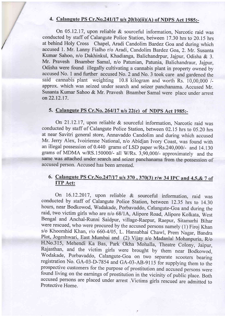### 4. Calangute PS Cr.No.241/17  $u/s$  20(b)(ii)(A) of NDPS Act 1985:-

/

On 05 .12.17, upon reliable & sourceful information, Narcotic raid was conducted by staff of Calangute Police Station, between I7 .30 hrs to 20.15 hrs at behind Holy Cross Chapel, Aradi Candolim Bardez Goa and during which accused 1. Mr. Lanny Fialho r/o Aradi, Candolim Bardez Goa, 2. Mr. Susanta Kumar Sahoo, n/o Dakhinkul, Khadianga, Balichandrpur, Jajpur, Odisha & 3. Mr. Pravesh Bnamber Samal, n/o Patunian, Patunia, Balichandraur, Jajpur, Odisha were found illegally cultivating a cannabis plant in property owned by accused No. 1 and further accused No. 2 and No. 3 took care and gardened the said cannabis plant weighting 10.8 kilogram and worth Rs. 10,00,000 /approx. which was seized under search and seizer panchanama. Accused Mr. Susanta Kumar Sahoo & Mr. Pravesh Bnamber Samal were place under arrest on22.12.17.

### 5. Calangute PS Cr.No. 264/17 u/s 22(c) of NDPS Act 1985:-

On 2I.I2.I7, upon reliable & sourceful information, Narcotic raid was conducted by staff of Calangute Police Station, between 02.15 hrs to 05.20 hrs at near Savitri general store, Annavaddo Candolim and during which accused Mr. Jerry Alex, Ivoirienne National, n/o Abidjan Ivory Coast, was found with an illegal possession of  $0.440$  grams of LSD paper w/Rs.240,000/- and 14.130 grams of MDMA w/RS.150000/- all W/Rs.  $3,90,000$ /- approximately and the same was attached under search and seizer panchanama from the possession of accused person. Accused has been arrested.

#### 6. Calangute PS Cr.No.247/17 u/s 370, 370(3) r/w 34 IPC and 4,5, & 7 of ITP Act:

On 16.12.2017, upon reliable & sourceful information, raid was conducted by staff of Calangute Police Station, between 12.35 hrs to 14.30 hours, near Bodkowod, Wadakade, Porbavaddo, Calangute-Goa and during the raid, two victim girls who are n/o 68/1A, Alipore Road, Alipore Kolkata, West Bengal and Anchal-Runni Saidpur, village-Raepur, Raepur, Sitamarhi Bihar were rescued, who were procured by the accused persons namely (1) Firoj Khan s/o Khoorshid Khan, r/o 660-4/05, L. Hansabhai Chawl, Prem Nagar, Bandra Plot, Jogeshwari, East Mumbai and (2) Vijay s/o Madanlal Mohanpuria, R/o H.No.3 15, Mehendi Ka Bas, Park Okha Mohalla, Theatre Colony, Jaipur, Rajasthan, and the victim girls were brought by them near Bodkowod, Wodakade, Porbavaddo, Calangute-Goa on two separate scooters bearing registration No. GA-03-D-7854 and GA-03-AB-9115 for supplying them to the prospective customers for the purpose of prostitution and accused persons were<br>found living on the earnings of prostitution in the vicinity of public place. Both accused persons are placed under arrest .Victims girls rescued are admitted to Protective Home.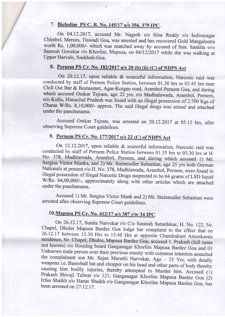#### 7. Bicholim PS C. R. No. 145/17 u/s 356, 379 IPC.

/

On 04.12.2017, accused Mr. Nagesh s/o Sina Reddy r/o Indiranagar Chimbel, Merces, Tiswadi Goa, was arrested and has recovered Gold Mangalsutra worth Rs. 1,00,000/- which was snatched away by accused of Smt. Sankita w/o Santosh Govekar r/o Khorlim, Mapusa, on 04/12/2017 while she was walking at Upper Harvale, Sankhali-Goa.

# 8. Pernem PS Cr. No. 182/2017 u/s 20 (b) (ii) (C) of NDPS Act

On 20.12.17, upon reliable & sourceful information, Narcotic raid was conducted by staff of Pernem Police Station, between 01.30 hrs to 03.45 hrs near Chill Out Bar & Restaurant, Agar-Korgao road, Arambol Pernem Goa, and during which accused Omkar Tejram, age 22 yrs, r/o Madhalawada, Arambol, Pernem, n/o Kullu, Himachal Pradesh was found with an illegal possession of 2.700 Kgs of Charas W/Rs. 8,10,000/- approx. The said illegal drugs was seized and attached under the panchanama.

Accused Omkar Tejram, was arrested on 20.12.2017 at 05.15 hrs, after observing Supreme Court guidelines.

# 9. Pernem PS Cr. No. 177/2017 u/s 22 (C) of NDPS Act

On 12.12.2017, upon reliable & sourceful information, Narcotic raid was conducted by staff of Pernem Police Station between 01.35 hrs to 03.30 hrs at H. No. 378, Madhlawada, Arambol, Pernem, and during which accused 1) Mr. Sergius Victor Manka, and 2) Mr. Steinmuller Sebastian, age 25 yrs both German Nationals at present r/o H. No. 378, Madhlawada, Arambol, Pernem, were found in illegal possession of illegal Narcotic Drugs suspected to be 64 grams of LSD liquid W/Rs. 64,00,000/-, approximately along with other articles which are attached under the panchanama.

Accused 1) Mr. Sergius Victor Mank and 2) Mr. Steinmuller Sebastian were arrested after observing supreme court guidelines.

# 10. Mapusa PS Cr. No. 412/17 u/s 307 r/w 34 IPC

On 26.12.17, Sunita Narvekar r/o C/o Santosh Satardekar, H. No. 122, Nr.<br>Chapel, Dhuler Mapusa Bardez Goa lodge her complaint to the effect that on<br>26.12.17 between 15.30 Hrs to 15.40 Hrs at opposite Chandrakant Amonkarais causing him bodily injuries, thereby attempted to Murder him. Accused (1) Prakash Shivaji Talwar r/o 121, Ganganagar Khorlim Mapusa Bardez Goa (2) Irfan Shaikh s/o Harun Shaikh r/o Ganganagar Khorlim Mapusa Bardez Goa, has